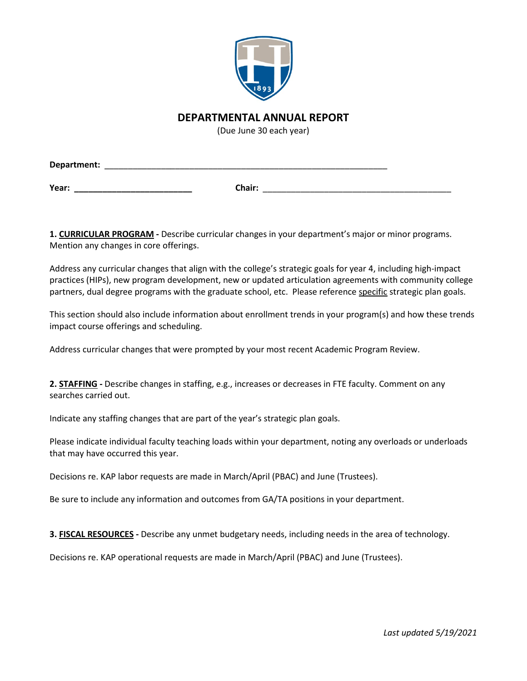

## **DEPARTMENTAL ANNUAL REPORT**

(Due June 30 each year)

| Department: |        |  |
|-------------|--------|--|
|             |        |  |
| Year:       | Chair: |  |

**1. CURRICULAR PROGRAM -** Describe curricular changes in your department's major or minor programs. Mention any changes in core offerings.

Address any curricular changes that align with the college's strategic goals for year 4, including high-impact practices (HIPs), new program development, new or updated articulation agreements with community college partners, dual degree programs with the graduate school, etc. Please reference specific strategic plan goals.

This section should also include information about enrollment trends in your program(s) and how these trends impact course offerings and scheduling.

Address curricular changes that were prompted by your most recent Academic Program Review.

**2. STAFFING -** Describe changes in staffing, e.g., increases or decreases in FTE faculty. Comment on any searches carried out.

Indicate any staffing changes that are part of the year's strategic plan goals.

Please indicate individual faculty teaching loads within your department, noting any overloads or underloads that may have occurred this year.

Decisions re. KAP labor requests are made in March/April (PBAC) and June (Trustees).

Be sure to include any information and outcomes from GA/TA positions in your department.

**3. FISCAL RESOURCES -** Describe any unmet budgetary needs, including needs in the area of technology.

Decisions re. KAP operational requests are made in March/April (PBAC) and June (Trustees).